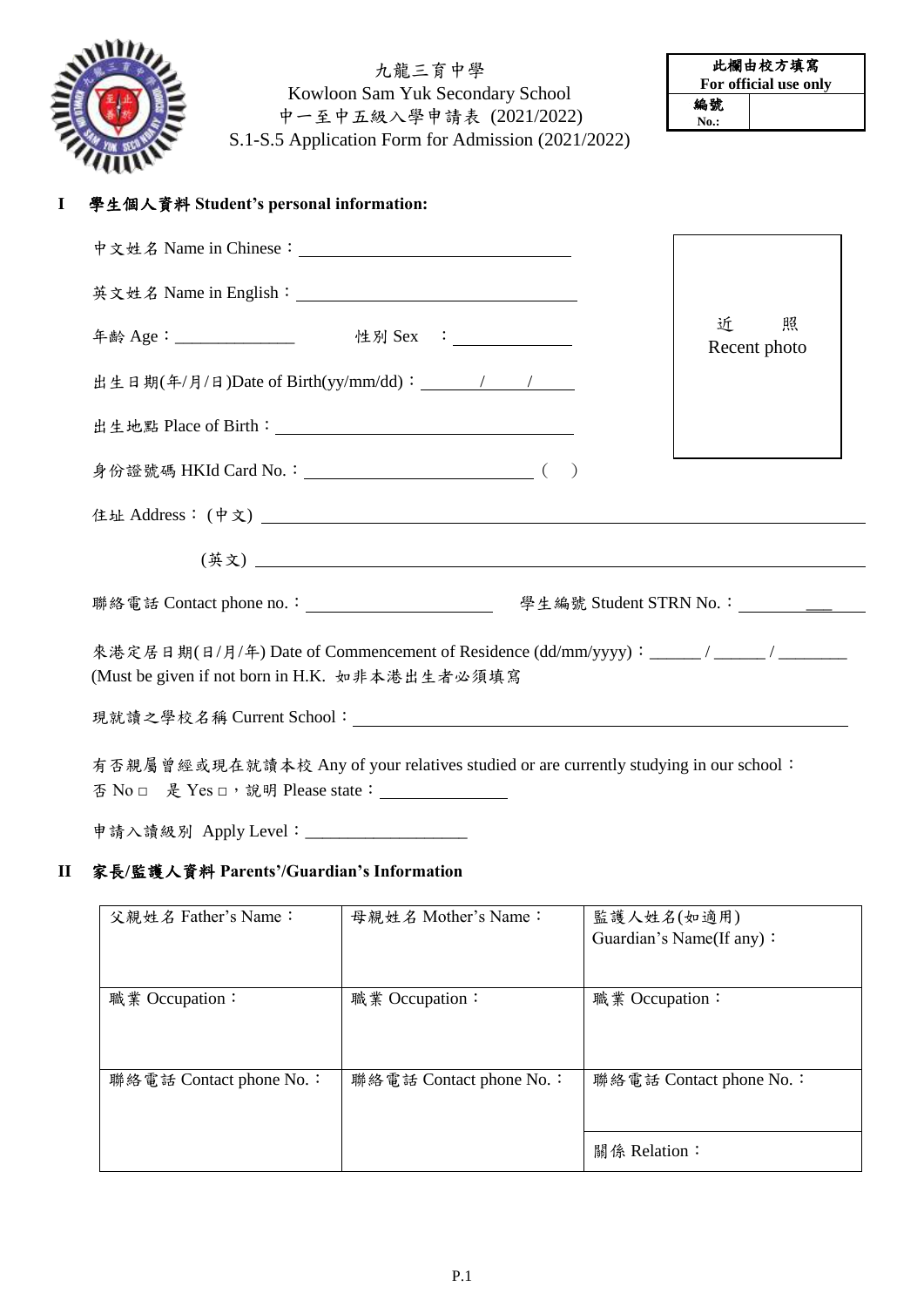

九龍三育中學 Kowloon Sam Yuk Secondary School 中一至中五級入學申請表 (2021/2022) S.1-S.5 Application Form for Admission (2021/2022)

| 此欄由校方填寫               |  |  |
|-----------------------|--|--|
| For official use only |  |  |
| 編號                    |  |  |
| $No.$ :               |  |  |

## **I** 學生個人資料 **Student's personal information:**

| 年齡 Age:_______________    性別 Sex :_____________                                                                                     | 照<br>近<br>Recent photo |
|-------------------------------------------------------------------------------------------------------------------------------------|------------------------|
|                                                                                                                                     |                        |
|                                                                                                                                     |                        |
|                                                                                                                                     |                        |
|                                                                                                                                     |                        |
|                                                                                                                                     |                        |
|                                                                                                                                     |                        |
| 來港定居日期(日/月/年) Date of Commencement of Residence (dd/mm/yyyy): _____/ _____/ _____<br>(Must be given if not born in H.K. 如非本港出生者必須填寫 |                        |
|                                                                                                                                     |                        |
| 有否親屬曾經或現在就讀本校 Any of your relatives studied or are currently studying in our school:                                                |                        |

申請入讀級別 Apply Level:\_\_\_\_\_\_\_\_\_\_\_\_\_\_\_\_\_\_\_

#### **II** 家長**/**監護人資料 **Parents'/Guardian's Information**

| 父親姓名 Father's Name:     | 母親姓名 Mother's Name:     | 監護人姓名(如適用)               |
|-------------------------|-------------------------|--------------------------|
|                         |                         | Guardian's Name(If any): |
|                         |                         |                          |
| 職業 Occupation:          | 職業 Occupation:          | 職業 Occupation:           |
|                         |                         |                          |
|                         |                         |                          |
| 聯絡電話 Contact phone No.: | 聯絡電話 Contact phone No.: | 聯絡電話 Contact phone No.:  |
|                         |                         |                          |
|                         |                         |                          |
|                         |                         | 關係 Relation:             |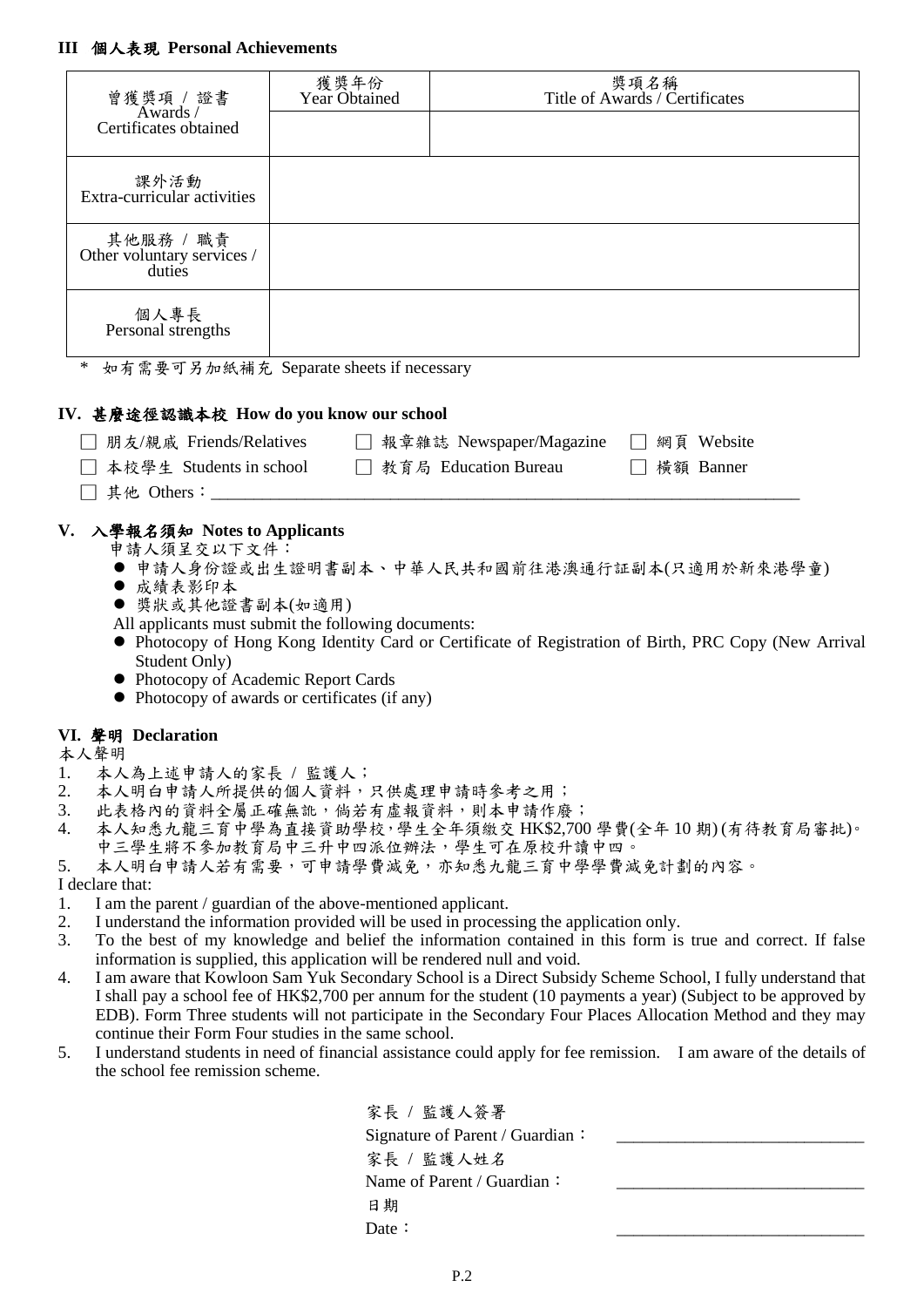| 曾獲獎項 / 證書<br>Awards /                                                           | 獲獎年份<br>Year Obtained                          |                                                                                        | 獎項名稱<br>Title of Awards / Certificates                                                                            |
|---------------------------------------------------------------------------------|------------------------------------------------|----------------------------------------------------------------------------------------|-------------------------------------------------------------------------------------------------------------------|
| Certificates obtained                                                           |                                                |                                                                                        |                                                                                                                   |
| 課外活動<br>Extra-curricular activities                                             |                                                |                                                                                        |                                                                                                                   |
| 其他服務 / 職責<br>Other voluntary services /<br>duties                               |                                                |                                                                                        |                                                                                                                   |
| 個人專長<br>Personal strengths                                                      |                                                |                                                                                        |                                                                                                                   |
| $\ast$<br>如有需要可另加紙補充 Separate sheets if necessary                               |                                                |                                                                                        |                                                                                                                   |
| IV. 甚麼途徑認識本校 How do you know our school                                         |                                                |                                                                                        |                                                                                                                   |
|                                                                                 |                                                | 朋友/親戚 Friends/Relatives □ 報章雜誌 Newspaper/Magazine □ 網頁 Website                         |                                                                                                                   |
| 本校學生 Students in school □ 教育局 Education Bureau                                  |                                                |                                                                                        | □ 橫額 Banner                                                                                                       |
| 其他 Others: _____                                                                |                                                |                                                                                        |                                                                                                                   |
| Student Only)<br>• Photocopy of Academic Report Cards                           | • Photocopy of awards or certificates (if any) |                                                                                        |                                                                                                                   |
| VI. 聲明 Declaration<br>本人聲明                                                      |                                                |                                                                                        |                                                                                                                   |
| 1.<br>本人為上述申請人的家長 / 監護人;                                                        |                                                |                                                                                        |                                                                                                                   |
| 2.<br>本人明白申請人所提供的個人資料,只供處理申請時參考之用;<br>此表格內的資料全屬正確無訛,倘若有虛報資料,則本申請作廢;<br>3.       |                                                |                                                                                        |                                                                                                                   |
| 4.                                                                              |                                                | 中三學生將不參加教育局中三升中四派位辦法,學生可在原校升讀中四。<br>本人明白申請人若有需要,可申請學費減免,亦知悉九龍三育中學學費減免計劃的內容。            | 本人知悉九龍三育中學為直接資助學校,學生全年須繳交 HK\$2,700 學費(全年10期)(有待教育局審批)。                                                           |
| 5.<br>I declare that:                                                           |                                                |                                                                                        |                                                                                                                   |
| I am the parent / guardian of the above-mentioned applicant.<br>1.<br>2.        |                                                | I understand the information provided will be used in processing the application only. |                                                                                                                   |
| 3.                                                                              |                                                |                                                                                        | To the best of my knowledge and belief the information contained in this form is true and correct. If false       |
| information is supplied, this application will be rendered null and void.<br>4. |                                                |                                                                                        | I am aware that Kowloon Sam Yuk Secondary School is a Direct Subsidy Scheme School, I fully understand that       |
|                                                                                 |                                                |                                                                                        | I shall pay a school fee of HK\$2,700 per annum for the student (10 payments a year) (Subject to be approved by   |
| continue their Form Four studies in the same school.                            |                                                |                                                                                        | EDB). Form Three students will not participate in the Secondary Four Places Allocation Method and they may        |
| 5.<br>the school fee remission scheme.                                          |                                                |                                                                                        | I understand students in need of financial assistance could apply for fee remission. I am aware of the details of |
|                                                                                 |                                                | 家長 / 監護人簽署                                                                             |                                                                                                                   |
|                                                                                 |                                                | Signature of Parent / Guardian:                                                        |                                                                                                                   |
|                                                                                 |                                                | 家長 / 監護人姓名                                                                             |                                                                                                                   |
|                                                                                 |                                                | Name of Parent / Guardian:                                                             |                                                                                                                   |

| ۰.<br>v |  |
|---------|--|
|         |  |

Date: 2008. 2010. 2010. 2010. 2010. 2010. 2010. 2010. 2010. 2010. 2010. 2010. 2010. 2010. 2010. 2010. 2010. 20

日期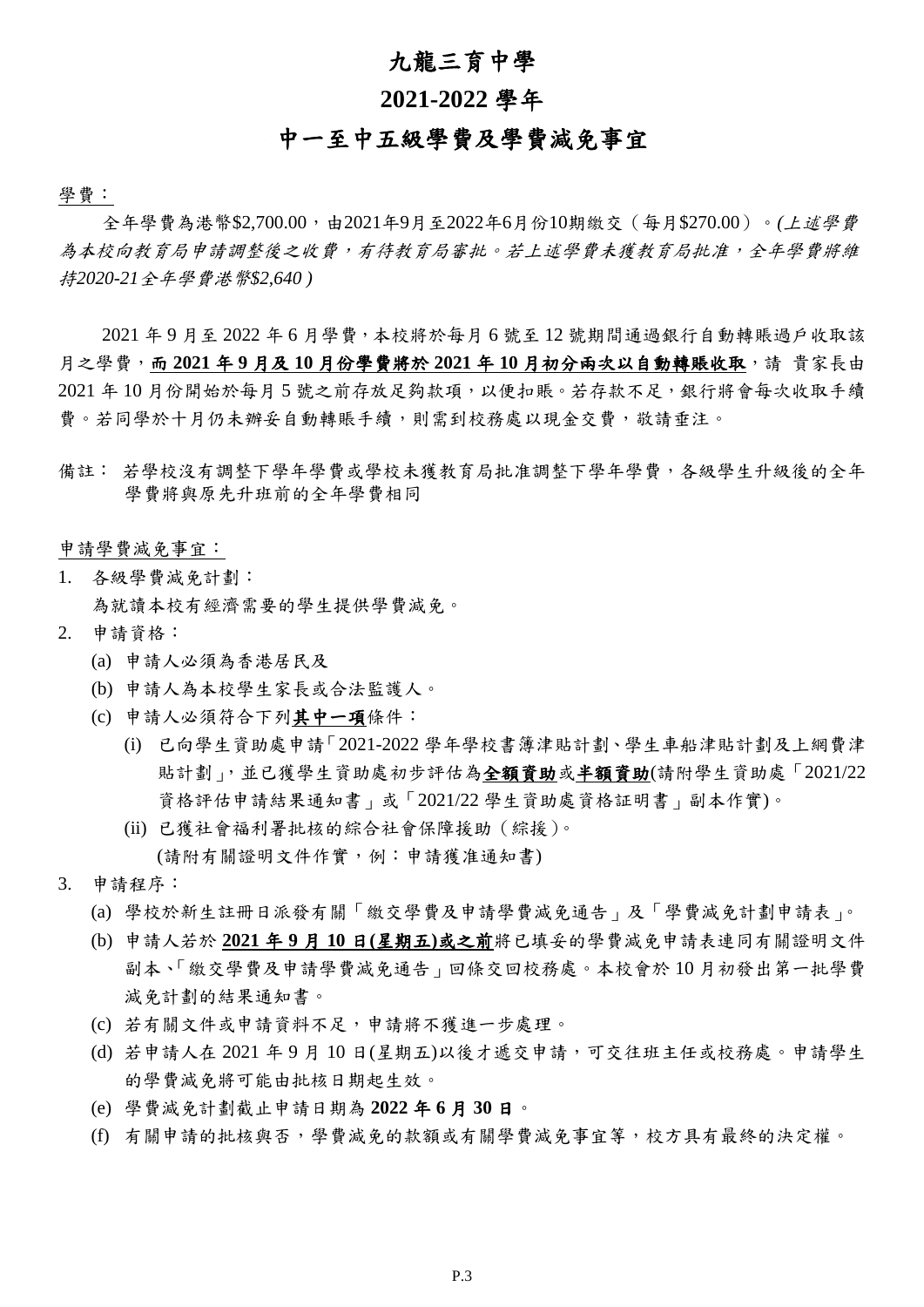#### 九龍三育中學

## **2021-2022** 學年

# 中一至中五級學費及學費減免事宜

學費:

全年學費為港幣\$2,700.00,由2021年9月至2022年6月份10期繳交(每月\$270.00)。*(*上述學費 為本校向教育局申請調整後之收費,有待教育局審批。若上述學費未獲教育局批准,全年學費將維 持*2020-21*全年學費港幣*\$2,640 )*

2021 年 9 月至 2022 年 6 月學費,本校將於每月 6 號至 12 號期間通過銀行自動轉賬過戶收取該 月之學費,而 **2021** 年 **9** 月及 **10** 月份學費將於 **2021** 年 **10** 月初分兩次以自動轉賬收取,請 貴家長由 2021 年 10 月份開始於每月 5 號之前存放足夠款項,以便扣賬。若存款不足,銀行將會每次收取手續 費。若同學於十月仍未辦妥自動轉賬手續,則需到校務處以現金交費,敬請垂注。

備註: 若學校沒有調整下學年學費或學校未獲教育局批准調整下學年學費,各級學生升級後的全年 學費將與原先升班前的全年學費相同

申請學費減免事宜:

1. 各級學費減免計劃:

為就讀本校有經濟需要的學生提供學費減免。

- 2. 申請資格:
	- (a) 申請人必須為香港居民及
	- (b) 申請人為本校學生家長或合法監護人。
	- (c) 申請人必須符合下列其中一項條件:
		- (i) 已向學生資助處申請「2021-2022 學年學校書簿津貼計劃、學生車船津貼計劃及上網費津 貼計劃」,並已獲學生資助處初步評估為全額資助或半額資助(請附學生資助處「2021/22 資格評估申請結果通知書」或「2021/22 學生資助處資格証明書」副本作實)。
		- (ii) 已獲社會福利署批核的綜合社會保障援助(綜援)。 (請附有關證明文件作實,例:申請獲准通知書)
- 3. 申請程序:
	- (a) 學校於新生註冊日派發有關「繳交學費及申請學費減免通告」及「學費減免計劃申請表」。
	- (b) 申請人若於 **2021** 年 **9** 月 **10** 日**(**星期五**)**或之前將已填妥的學費減免申請表連同有關證明文件 副本、「繳交學費及申請學費減免通告」回條交回校務處。本校會於 10 月初發出第一批學費 減免計劃的結果通知書。
	- (c) 若有關文件或申請資料不足,申請將不獲進一步處理。
	- (d) 若申請人在 2021 年 9 月 10 日(星期五)以後才遞交申請,可交往班主任或校務處。申請學生 的學費減免將可能由批核日期起生效。
	- (e) 學費減免計劃截止申請日期為 **2022** 年 **6** 月 **30** 日。
	- (f) 有關申請的批核與否,學費減免的款額或有關學費減免事宜等,校方具有最終的決定權。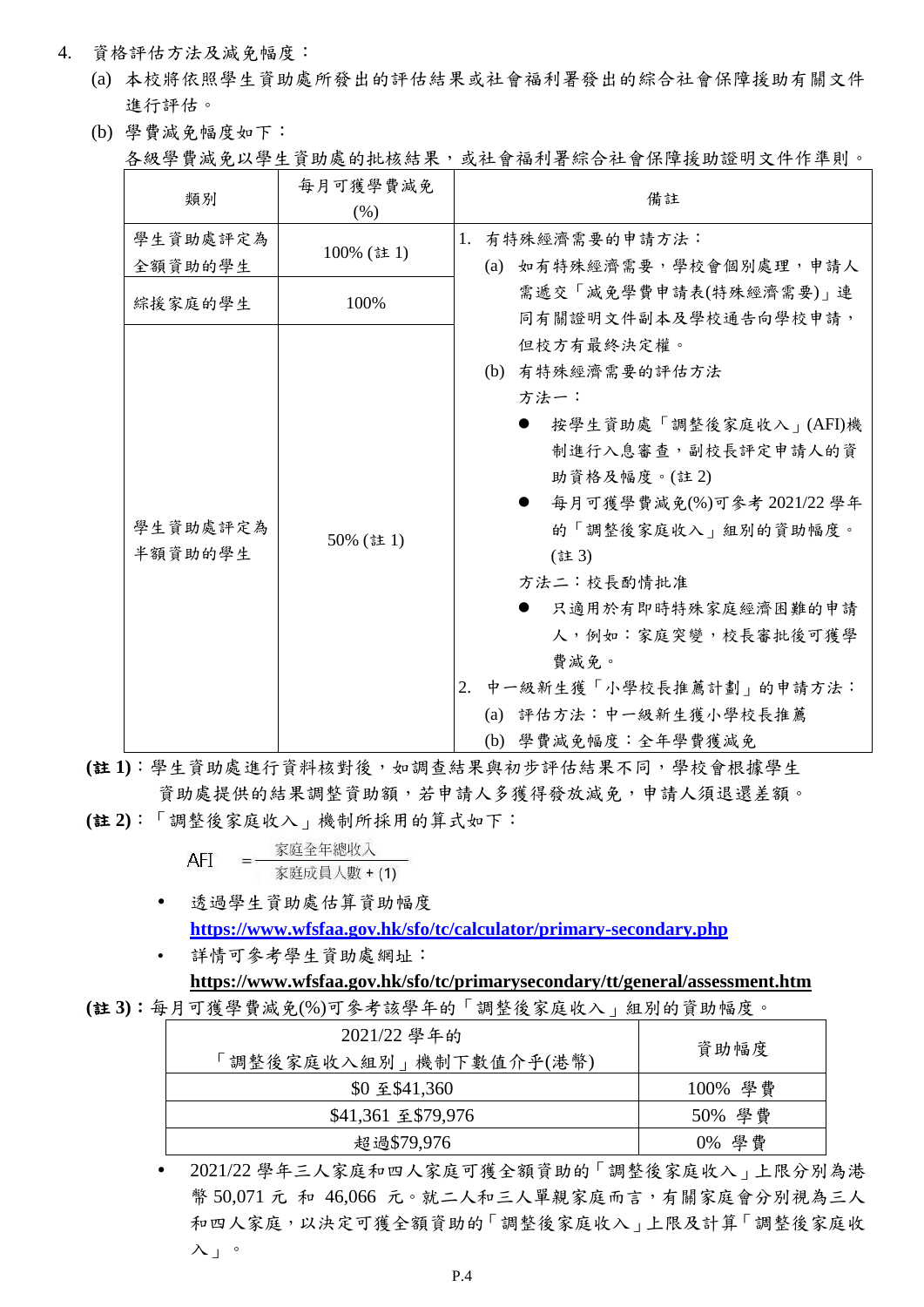- 4. 資格評估方法及減免幅度:
	- (a) 本校將依照學生資助處所發出的評估結果或社會福利署發出的綜合社會保障援助有關文件 進行評估。
	- (b) 學費減免幅度如下: 各級學費減免以學生資助處的批核結果,或社會福利署綜合社會保障援助證明文件作準則。

| 類別                  | 每月可獲學費減免<br>(% ) | 備註                                                                                                                                                                                                                                                                                                               |
|---------------------|------------------|------------------------------------------------------------------------------------------------------------------------------------------------------------------------------------------------------------------------------------------------------------------------------------------------------------------|
| 學生資助處評定為            | 100% (註1)        | 有特殊經濟需要的申請方法:<br>1.                                                                                                                                                                                                                                                                                              |
| 全額資助的學生<br>綜援家庭的學生  | 100%             | (a) 如有特殊經濟需要,學校會個別處理,申請人<br>需遞交「減免學費申請表(特殊經濟需要)」連<br>同有關證明文件副本及學校通告向學校申請,                                                                                                                                                                                                                                        |
| 學生資助處評定為<br>半額資助的學生 | 50% (註1)         | 但校方有最終決定權。<br>(b) 有特殊經濟需要的評估方法<br>方法一:<br>按學生資助處「調整後家庭收入」(AFI)機<br>制進行入息審查,副校長評定申請人的資<br>助資格及幅度。(註2)<br>每月可獲學費減免(%)可參考 2021/22 學年<br>的「調整後家庭收入」組別的資助幅度。<br>(註3)<br>方法二:校長酌情批准<br>只適用於有即時特殊家庭經濟困難的申請<br>人,例如:家庭突變,校長審批後可獲學<br>費減免。<br>中一級新生獲「小學校長推薦計劃」的申請方法:<br>2.<br>(a) 評估方法:中一級新生獲小學校長推薦<br>(b) 學費減免幅度:全年學費獲減免 |

**(**註 **1)**:學生資助處進行資料核對後,如調查結果與初步評估結果不同,學校會根據學生 資助處提供的結果調整資助額,若申請人多獲得發放減免,申請人須退還差額。

**(**註 **2)**:「調整後家庭收入」機制所採用的算式如下:

AFI = 家庭全年總收入 家庭成員人數 + (1)

- 透過學生資助處估算資助幅度 **<https://www.wfsfaa.gov.hk/sfo/tc/calculator/primary-secondary.php>**
- 詳情可參考學生資助處網址:

#### **<https://www.wfsfaa.gov.hk/sfo/tc/primarysecondary/tt/general/assessment.htm>**

**(**註 **3)**:每月可獲學費減免(%)可參考該學年的「調整後家庭收入」組別的資助幅度。

| 2021/22 學年的<br>「調整後家庭收入組別」機制下數值介乎(港幣) | 資助幅度    |
|---------------------------------------|---------|
| \$0 至 \$41,360                        | 100% 學費 |
| \$41,361 至 \$79,976                   | 50% 學費  |
| 超過\$79,976                            | 0% 學費   |

 2021/22 學年三人家庭和四人家庭可獲全額資助的「調整後家庭收入」上限分別為港 幣 50,071 元 和 46,066 元。就二人和三人單親家庭而言,有關家庭會分別視為三人 和四人家庭,以決定可獲全額資助的「調整後家庭收入」上限及計算「調整後家庭收 入」。